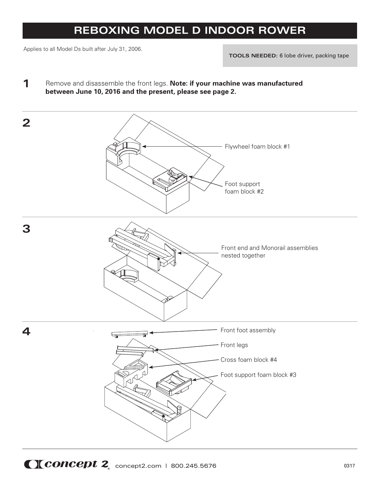## **REBOXING MODEL D INDOOR ROWER**

Applies to all Model Ds built after July 31, 2006.

**TOOLS NEEDED:** 6 lobe driver, packing tape

**1** Remove and disassemble the front legs. **Note: if your machine was manufactured between June 10, 2016 and the present, please see page 2.**